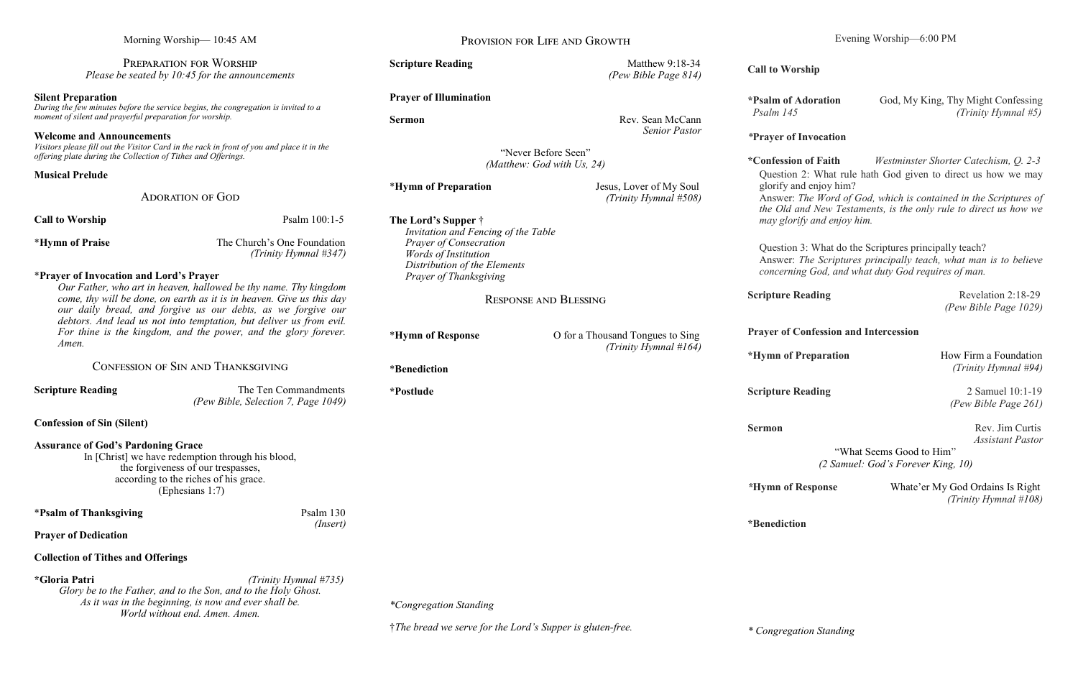| Morning Worship-10:45 AM<br>PREPARATION FOR WORSHIP<br>Please be seated by $10:45$ for the announcements                                                                                                  |                                                                                                                                                                                                    | PROVISION FOR LIFE AND GROWTH                                      |                                                                                                                                                                                 | Evening Worship-6:00 PM                                                                                                                                        |                                                           |
|-----------------------------------------------------------------------------------------------------------------------------------------------------------------------------------------------------------|----------------------------------------------------------------------------------------------------------------------------------------------------------------------------------------------------|--------------------------------------------------------------------|---------------------------------------------------------------------------------------------------------------------------------------------------------------------------------|----------------------------------------------------------------------------------------------------------------------------------------------------------------|-----------------------------------------------------------|
|                                                                                                                                                                                                           |                                                                                                                                                                                                    | <b>Scripture Reading</b>                                           | Matthew 9:18-34<br>(Pew Bible Page 814)                                                                                                                                         | <b>Call to Worship</b>                                                                                                                                         |                                                           |
| <b>Silent Preparation</b><br>During the few minutes before the service begins, the congregation is invited to a<br>moment of silent and prayerful preparation for worship.                                |                                                                                                                                                                                                    | <b>Prayer of Illumination</b><br><b>Sermon</b>                     | Rev. Sean McCann                                                                                                                                                                | *Psalm of Adoration<br>Psalm 145                                                                                                                               | God, My King, Thy Might Confessing<br>(Trinity Hymnal #5) |
| <b>Welcome and Announcements</b><br>Visitors please fill out the Visitor Card in the rack in front of you and place it in the<br>offering plate during the Collection of Tithes and Offerings.            |                                                                                                                                                                                                    | <b>Senior Pastor</b><br>"Never Before Seen"                        |                                                                                                                                                                                 | <i>*Prayer of Invocation</i>                                                                                                                                   |                                                           |
| <b>Musical Prelude</b>                                                                                                                                                                                    |                                                                                                                                                                                                    | (Matthew: God with Us, 24)                                         |                                                                                                                                                                                 | *Confession of Faith<br>Westminster Shorter Catechism, Q. 2-3<br>Question 2: What rule hath God given to direct us how we may                                  |                                                           |
| <b>ADORATION OF GOD</b>                                                                                                                                                                                   |                                                                                                                                                                                                    | *Hymn of Preparation                                               | Jesus, Lover of My Soul<br>(Trinity Hymnal #508)                                                                                                                                | glorify and enjoy him?<br>Answer: The Word of God, which is contained in the Scriptures of<br>the Old and New Testaments, is the only rule to direct us how we |                                                           |
| <b>Call to Worship</b>                                                                                                                                                                                    | Psalm 100:1-5                                                                                                                                                                                      | The Lord's Supper $\dagger$<br>Invitation and Fencing of the Table |                                                                                                                                                                                 | may glorify and enjoy him.                                                                                                                                     |                                                           |
| <i><b>*Hymn of Praise</b></i>                                                                                                                                                                             | The Church's One Foundation<br><b>Prayer of Consecration</b><br>(Trinity Hymnal $#347$ )<br><i>Words of Institution</i><br>Distribution of the Elements<br>*Prayer of Invocation and Lord's Prayer |                                                                    | Question 3: What do the Scriptures principally teach?<br>Answer: The Scriptures principally teach, what man is to believe<br>concerning God, and what duty God requires of man. |                                                                                                                                                                |                                                           |
| Our Father, who art in heaven, hallowed be thy name. Thy kingdom<br>come, thy will be done, on earth as it is in heaven. Give us this day<br>our daily bread, and forgive us our debts, as we forgive our |                                                                                                                                                                                                    | Prayer of Thanksgiving<br><b>RESPONSE AND BLESSING</b>             |                                                                                                                                                                                 | <b>Scripture Reading</b>                                                                                                                                       | Revelation 2:18-29<br>(Pew Bible Page 1029)               |
| debtors. And lead us not into temptation, but deliver us from evil.<br>For thine is the kingdom, and the power, and the glory forever.<br>Amen.                                                           |                                                                                                                                                                                                    | *Hymn of Response                                                  | O for a Thousand Tongues to Sing<br>(Trinity Hymnal #164)                                                                                                                       | <b>Prayer of Confession and Intercession</b>                                                                                                                   |                                                           |
| CONFESSION OF SIN AND THANKSGIVING                                                                                                                                                                        |                                                                                                                                                                                                    | *Benediction                                                       |                                                                                                                                                                                 | *Hymn of Preparation                                                                                                                                           | How Firm a Foundation<br>(Trinity Hymnal #94)             |
| <b>Scripture Reading</b>                                                                                                                                                                                  | The Ten Commandments<br>(Pew Bible, Selection 7, Page 1049)                                                                                                                                        | *Postlude                                                          |                                                                                                                                                                                 | <b>Scripture Reading</b>                                                                                                                                       | 2 Samuel 10:1-19<br>(Pew Bible Page 261)                  |
| <b>Confession of Sin (Silent)</b>                                                                                                                                                                         |                                                                                                                                                                                                    |                                                                    |                                                                                                                                                                                 | <b>Sermon</b>                                                                                                                                                  | Rev. Jim Curtis                                           |
| <b>Assurance of God's Pardoning Grace</b><br>In [Christ] we have redemption through his blood,<br>the forgiveness of our trespasses,<br>according to the riches of his grace.<br>(Ephesians 1:7)          |                                                                                                                                                                                                    |                                                                    |                                                                                                                                                                                 | <b>Assistant Pastor</b><br>"What Seems Good to Him"<br>(2 Samuel: God's Forever King, 10)                                                                      |                                                           |
|                                                                                                                                                                                                           |                                                                                                                                                                                                    |                                                                    |                                                                                                                                                                                 | *Hymn of Response                                                                                                                                              | Whate'er My God Ordains Is Right<br>(Trinity Hymnal #108) |
| <i><b>*Psalm of Thanksgiving</b></i>                                                                                                                                                                      | Psalm 130<br>(Insert)                                                                                                                                                                              |                                                                    |                                                                                                                                                                                 | *Benediction                                                                                                                                                   |                                                           |
| <b>Prayer of Dedication</b>                                                                                                                                                                               |                                                                                                                                                                                                    |                                                                    |                                                                                                                                                                                 |                                                                                                                                                                |                                                           |
| <b>Collection of Tithes and Offerings</b>                                                                                                                                                                 |                                                                                                                                                                                                    |                                                                    |                                                                                                                                                                                 |                                                                                                                                                                |                                                           |
| *Gloria Patri<br>(Trinity Hymnal #735)<br>Glory be to the Father, and to the Son, and to the Holy Ghost.<br>As it was in the beginning, is now and ever shall be.<br>World without end. Amen. Amen.       |                                                                                                                                                                                                    | *Congregation Standing                                             |                                                                                                                                                                                 |                                                                                                                                                                |                                                           |
|                                                                                                                                                                                                           |                                                                                                                                                                                                    | †The bread we serve for the Lord's Supper is gluten-free.          |                                                                                                                                                                                 | * Congregation Standing                                                                                                                                        |                                                           |